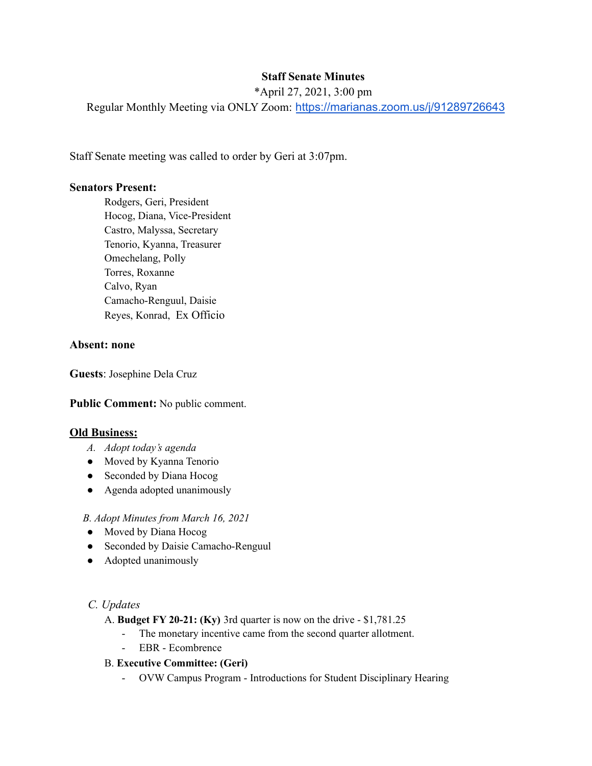# **Staff Senate Minutes**

\*April 27, 2021, 3:00 pm

Regular Monthly Meeting via ONLY Zoom: <https://marianas.zoom.us/j/91289726643>

Staff Senate meeting was called to order by Geri at 3:07pm.

## **Senators Present:**

Rodgers, Geri, President Hocog, Diana, Vice-President Castro, Malyssa, Secretary Tenorio, Kyanna, Treasurer Omechelang, Polly Torres, Roxanne Calvo, Ryan Camacho-Renguul, Daisie Reyes, Konrad, Ex Officio

#### **Absent: none**

**Guests**: Josephine Dela Cruz

#### **Public Comment:** No public comment.

#### **Old Business:**

- *A. Adopt today's agenda*
- Moved by Kyanna Tenorio
- Seconded by Diana Hocog
- Agenda adopted unanimously

#### *B. Adopt Minutes from March 16, 2021*

- Moved by Diana Hocog
- Seconded by Daisie Camacho-Renguul
- Adopted unanimously

## *C. Updates*

- A. **Budget FY 20-21: (Ky)** 3rd quarter is now on the drive \$1,781.25
	- The monetary incentive came from the second quarter allotment.
	- EBR Ecombrence

## B. **Executive Committee: (Geri)**

- OVW Campus Program - Introductions for Student Disciplinary Hearing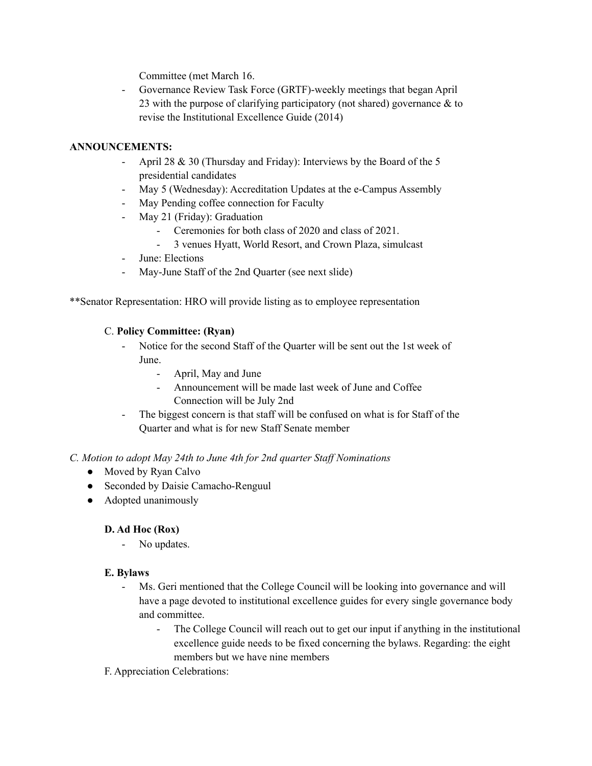Committee (met March 16.

- Governance Review Task Force (GRTF)-weekly meetings that began April 23 with the purpose of clarifying participatory (not shared) governance & to revise the Institutional Excellence Guide (2014)

## **ANNOUNCEMENTS:**

- April 28 & 30 (Thursday and Friday): Interviews by the Board of the 5 presidential candidates
- May 5 (Wednesday): Accreditation Updates at the e-Campus Assembly
- May Pending coffee connection for Faculty
- May 21 (Friday): Graduation
	- Ceremonies for both class of 2020 and class of 2021.
	- 3 venues Hyatt, World Resort, and Crown Plaza, simulcast
- June: Elections
- May-June Staff of the 2nd Quarter (see next slide)

\*\*Senator Representation: HRO will provide listing as to employee representation

## C. **Policy Committee: (Ryan)**

- Notice for the second Staff of the Quarter will be sent out the 1st week of June.
	- April, May and June
	- Announcement will be made last week of June and Coffee Connection will be July 2nd
- The biggest concern is that staff will be confused on what is for Staff of the Quarter and what is for new Staff Senate member

## *C. Motion to adopt May 24th to June 4th for 2nd quarter Staf Nominations*

- Moved by Ryan Calvo
- Seconded by Daisie Camacho-Renguul
- Adopted unanimously

## **D. Ad Hoc (Rox)**

- No updates.

## **E. Bylaws**

- Ms. Geri mentioned that the College Council will be looking into governance and will have a page devoted to institutional excellence guides for every single governance body and committee.
	- The College Council will reach out to get our input if anything in the institutional excellence guide needs to be fixed concerning the bylaws. Regarding: the eight members but we have nine members

## F. Appreciation Celebrations: